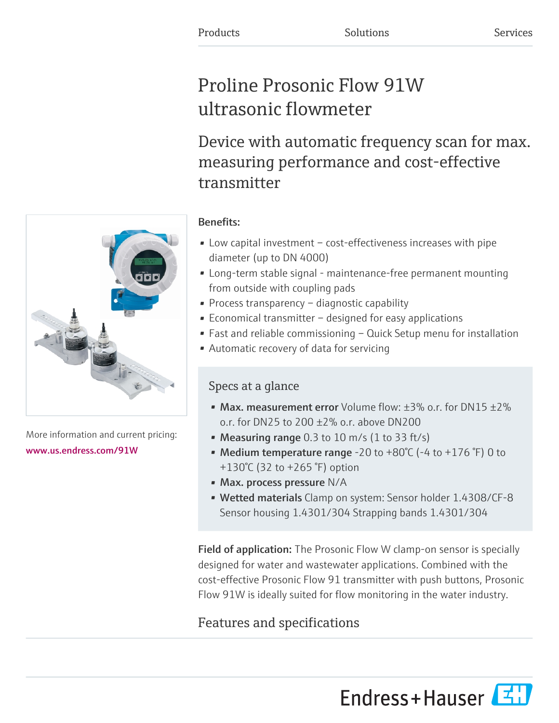# Proline Prosonic Flow 91W ultrasonic flowmeter

Device with automatic frequency scan for max. measuring performance and cost-effective transmitter

### Benefits:

- Low capital investment cost-effectiveness increases with pipe diameter (up to DN 4000)
- Long-term stable signal maintenance-free permanent mounting from outside with coupling pads
- Process transparency diagnostic capability
- Economical transmitter designed for easy applications
- Fast and reliable commissioning Quick Setup menu for installation
- Automatic recovery of data for servicing

### Specs at a glance

- Max. measurement error Volume flow:  $\pm 3\%$  o.r. for DN15  $\pm 2\%$ o.r. for DN25 to 200 ±2% o.r. above DN200
- Measuring range  $0.3$  to  $10$  m/s  $(1 \text{ to } 33 \text{ ft/s})$
- Medium temperature range -20 to  $+80^{\circ}$ C (-4 to  $+176^{\circ}$ F) 0 to +130°C (32 to +265 °F) option
- Max. process pressure N/A
- Wetted materials Clamp on system: Sensor holder 1.4308/CF-8 Sensor housing 1.4301/304 Strapping bands 1.4301/304

**Field of application:** The Prosonic Flow W clamp-on sensor is specially designed for water and wastewater applications. Combined with the cost-effective Prosonic Flow 91 transmitter with push buttons, Prosonic Flow 91W is ideally suited for flow monitoring in the water industry.

## Features and specifications

Endress+Hauser



More information and current pricing: [www.us.endress.com/91W](https://www.us.endress.com/91W)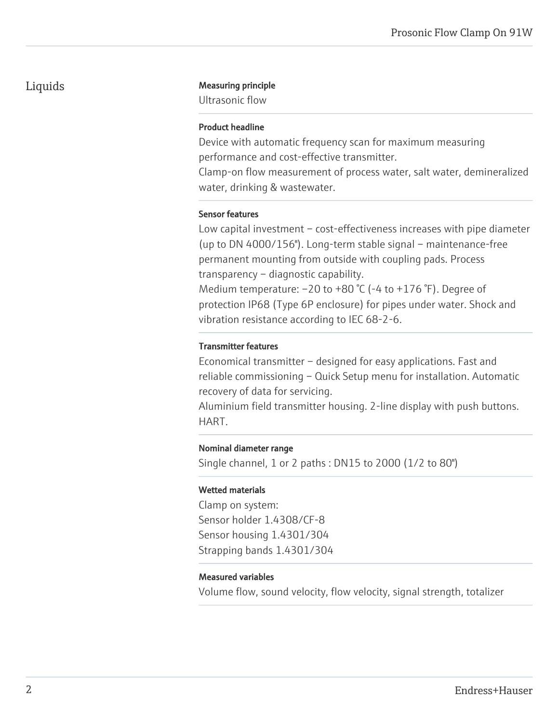#### Liquids Measuring principle

Ultrasonic flow

#### Product headline

Device with automatic frequency scan for maximum measuring performance and cost-effective transmitter.

Clamp-on flow measurement of process water, salt water, demineralized water, drinking & wastewater.

#### Sensor features

Low capital investment – cost-effectiveness increases with pipe diameter (up to DN 4000/156"). Long-term stable signal – maintenance-free permanent mounting from outside with coupling pads. Process transparency – diagnostic capability. Medium temperature:  $-20$  to  $+80$  °C ( $-4$  to  $+176$  °F). Degree of protection IP68 (Type 6P enclosure) for pipes under water. Shock and

vibration resistance according to IEC 68-2-6.

#### Transmitter features

Economical transmitter – designed for easy applications. Fast and reliable commissioning – Quick Setup menu for installation. Automatic recovery of data for servicing.

Aluminium field transmitter housing. 2-line display with push buttons. HART.

#### Nominal diameter range

Single channel, 1 or 2 paths : DN15 to 2000 (1/2 to 80")

#### Wetted materials

Clamp on system: Sensor holder 1.4308/CF-8 Sensor housing 1.4301/304 Strapping bands 1.4301/304

#### Measured variables

Volume flow, sound velocity, flow velocity, signal strength, totalizer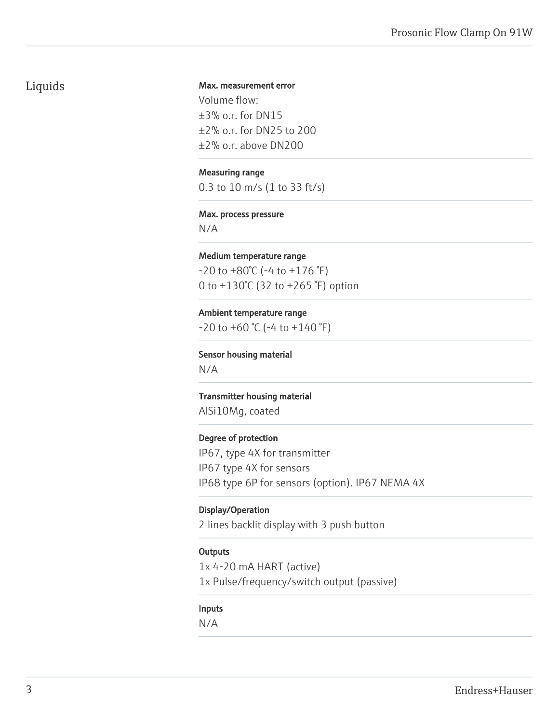### Liquids

#### Max. measurement error

Volume flow: ±3% o.r. for DN15 ±2% o.r. for DN25 to 200 ±2% o.r. above DN200

#### Measuring range

0.3 to 10 m/s (1 to 33 ft/s)

#### Max. process pressure

N/A

#### Medium temperature range  $-20$  to  $+80^{\circ}$ C ( $-4$  to  $+176^{\circ}$ F) 0 to +130°C (32 to +265 °F) option

Ambient temperature range  $-20$  to  $+60$  °C ( $-4$  to  $+140$  °F)

Sensor housing material N/A

Transmitter housing material AlSi10Mg, coated

Degree of protection IP67, type 4X for transmitter IP67 type 4X for sensors IP68 type 6P for sensors (option). IP67 NEMA 4X

#### Display/Operation

2 lines backlit display with 3 push button

#### **Outputs**

1x 4-20 mA HART (active) 1x Pulse/frequency/switch output (passive)

#### Inputs

N/A